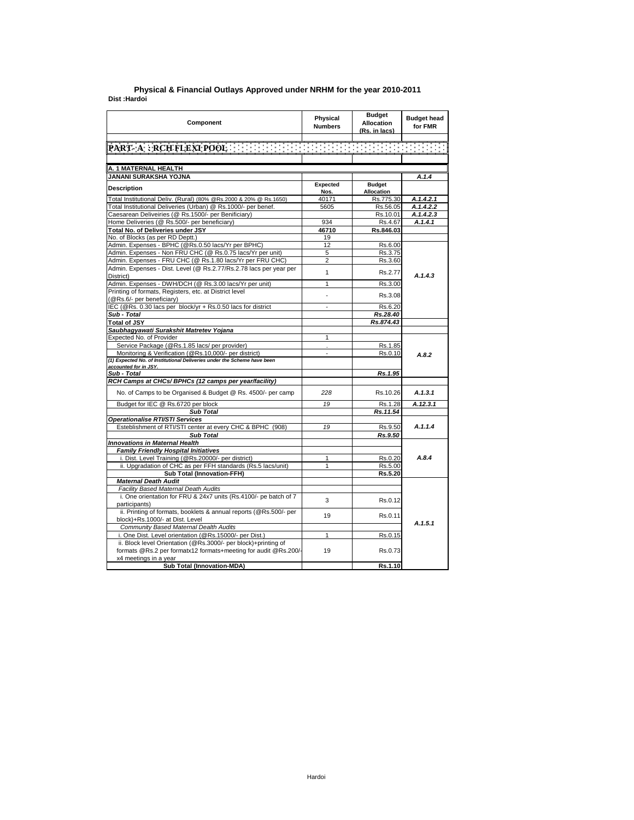## **Dist : Hardoi Physical & Financial Outlays Approved under NRHM for the year 2010-2011**

| PART A : RCH FLEXI POOL : ELECTRICIAL ELECTRIC CONTRACTOR<br>A. 1 MATERNAL HEALTH<br>JANANI SURAKSHA YOJNA<br><b>Budget</b><br><b>Expected</b><br><b>Description</b><br><b>Allocation</b><br>Nos.<br>Total Institutional Deliv. (Rural) (80% @Rs.2000 & 20% @ Rs.1650)<br>40171<br>Rs.775.30<br>Total Institutional Deliveries (Urban) @ Rs.1000/- per benef.<br>5605<br>Rs.56.05<br>Caesarean Deliveiries (@ Rs.1500/- per Benificiary)<br>Rs.10.01<br>Home Deliveries (@ Rs.500/- per beneficiary)<br>934<br>Rs.4.67<br>Total No. of Deliveries under JSY<br>46710<br>Rs.846.03 | A.1.4<br>A.1.4.2.1<br>A.1.4.2.2<br>A.1.4.2.3<br>A.1.4.1 |
|-----------------------------------------------------------------------------------------------------------------------------------------------------------------------------------------------------------------------------------------------------------------------------------------------------------------------------------------------------------------------------------------------------------------------------------------------------------------------------------------------------------------------------------------------------------------------------------|---------------------------------------------------------|
|                                                                                                                                                                                                                                                                                                                                                                                                                                                                                                                                                                                   |                                                         |
|                                                                                                                                                                                                                                                                                                                                                                                                                                                                                                                                                                                   |                                                         |
|                                                                                                                                                                                                                                                                                                                                                                                                                                                                                                                                                                                   |                                                         |
|                                                                                                                                                                                                                                                                                                                                                                                                                                                                                                                                                                                   |                                                         |
|                                                                                                                                                                                                                                                                                                                                                                                                                                                                                                                                                                                   |                                                         |
|                                                                                                                                                                                                                                                                                                                                                                                                                                                                                                                                                                                   |                                                         |
|                                                                                                                                                                                                                                                                                                                                                                                                                                                                                                                                                                                   |                                                         |
|                                                                                                                                                                                                                                                                                                                                                                                                                                                                                                                                                                                   |                                                         |
|                                                                                                                                                                                                                                                                                                                                                                                                                                                                                                                                                                                   |                                                         |
|                                                                                                                                                                                                                                                                                                                                                                                                                                                                                                                                                                                   |                                                         |
| No. of Blocks (as per RD Deptt.)<br>19                                                                                                                                                                                                                                                                                                                                                                                                                                                                                                                                            |                                                         |
| Admin. Expenses - BPHC (@Rs.0.50 lacs/Yr per BPHC)<br>12<br>Rs.6.00                                                                                                                                                                                                                                                                                                                                                                                                                                                                                                               |                                                         |
| Admin. Expenses - Non FRU CHC (@ Rs.0.75 lacs/Yr per unit)<br>5<br>Rs.3.75                                                                                                                                                                                                                                                                                                                                                                                                                                                                                                        |                                                         |
| Admin. Expenses - FRU CHC (@ Rs.1.80 lacs/Yr per FRU CHC)<br>$\overline{2}$<br>Rs.3.60                                                                                                                                                                                                                                                                                                                                                                                                                                                                                            |                                                         |
| Admin. Expenses - Dist. Level (@ Rs.2.77/Rs.2.78 lacs per year per<br>$\mathbf{1}$<br>Rs.2.77<br>District)                                                                                                                                                                                                                                                                                                                                                                                                                                                                        | A.1.4.3                                                 |
| Admin. Expenses - DWH/DCH (@ Rs.3.00 lacs/Yr per unit)<br>$\mathbf{1}$<br>Rs.3.00                                                                                                                                                                                                                                                                                                                                                                                                                                                                                                 |                                                         |
| Printing of formats, Registers, etc. at District level<br>Rs.3.08<br>÷<br>(@Rs.6/- per beneficiary)                                                                                                                                                                                                                                                                                                                                                                                                                                                                               |                                                         |
| IEC (@Rs. 0.30 lacs per block/yr + Rs.0.50 lacs for district<br>Rs.6.20<br>$\overline{a}$                                                                                                                                                                                                                                                                                                                                                                                                                                                                                         |                                                         |
| Sub - Total<br>Rs.28.40                                                                                                                                                                                                                                                                                                                                                                                                                                                                                                                                                           |                                                         |
| Rs.874.43<br><b>Total of JSY</b>                                                                                                                                                                                                                                                                                                                                                                                                                                                                                                                                                  |                                                         |
| Saubhagyawati Surakshit Matretev Yojana                                                                                                                                                                                                                                                                                                                                                                                                                                                                                                                                           |                                                         |
| Expected No. of Provider<br>1                                                                                                                                                                                                                                                                                                                                                                                                                                                                                                                                                     |                                                         |
| Service Package (@Rs.1.85 lacs/ per provider)<br>Rs.1.85                                                                                                                                                                                                                                                                                                                                                                                                                                                                                                                          |                                                         |
| Monitoring & Verification (@Rs.10,000/- per district)<br>Rs.0.10                                                                                                                                                                                                                                                                                                                                                                                                                                                                                                                  | A.8.2                                                   |
| (1) Expected No. of Institutional Deliveries under the Scheme have been<br>accounted for in JSY.                                                                                                                                                                                                                                                                                                                                                                                                                                                                                  |                                                         |
| Sub - Total<br>Rs.1.95                                                                                                                                                                                                                                                                                                                                                                                                                                                                                                                                                            |                                                         |
| RCH Camps at CHCs/ BPHCs (12 camps per year/facility)                                                                                                                                                                                                                                                                                                                                                                                                                                                                                                                             |                                                         |
| No. of Camps to be Organised & Budget @ Rs. 4500/- per camp<br>228<br>Rs.10.26                                                                                                                                                                                                                                                                                                                                                                                                                                                                                                    | A.1.3.1                                                 |
| Budget for IEC @ Rs.6720 per block<br>19<br>Rs.1.28                                                                                                                                                                                                                                                                                                                                                                                                                                                                                                                               | A.12.3.1                                                |
| <b>Sub Total</b><br>Rs.11.54                                                                                                                                                                                                                                                                                                                                                                                                                                                                                                                                                      |                                                         |
| Operationalise RTI/STI Services                                                                                                                                                                                                                                                                                                                                                                                                                                                                                                                                                   |                                                         |
| Esteblishment of RTI/STI center at every CHC & BPHC (908)<br>19<br>Rs.9.50                                                                                                                                                                                                                                                                                                                                                                                                                                                                                                        | A.1.1.4                                                 |
| <b>Sub Total</b><br>Rs.9.50                                                                                                                                                                                                                                                                                                                                                                                                                                                                                                                                                       |                                                         |
| Innovations in Maternal Health                                                                                                                                                                                                                                                                                                                                                                                                                                                                                                                                                    |                                                         |
| <b>Family Friendly Hospital Initiatives</b>                                                                                                                                                                                                                                                                                                                                                                                                                                                                                                                                       |                                                         |
| i. Dist. Level Training (@Rs.20000/- per district)<br>1<br>Rs.0.20                                                                                                                                                                                                                                                                                                                                                                                                                                                                                                                | A.8.4                                                   |
| ii. Upgradation of CHC as per FFH standards (Rs.5 lacs/unit)<br>1<br>Rs.5.00                                                                                                                                                                                                                                                                                                                                                                                                                                                                                                      |                                                         |
| <b>Sub Total (Innovation-FFH)</b><br>Rs.5.20                                                                                                                                                                                                                                                                                                                                                                                                                                                                                                                                      |                                                         |
| <b>Maternal Death Audit</b>                                                                                                                                                                                                                                                                                                                                                                                                                                                                                                                                                       |                                                         |
| Facility Based Maternal Death Audits                                                                                                                                                                                                                                                                                                                                                                                                                                                                                                                                              |                                                         |
| i. One orientation for FRU & 24x7 units (Rs.4100/- pe batch of 7<br>3<br>Rs.0.12<br>participants)                                                                                                                                                                                                                                                                                                                                                                                                                                                                                 |                                                         |
| ii. Printing of formats, booklets & annual reports (@Rs.500/- per<br>19<br>Rs.0.11<br>block)+Rs.1000/- at Dist. Level                                                                                                                                                                                                                                                                                                                                                                                                                                                             |                                                         |
| Community Based Maternal Dealth Audits                                                                                                                                                                                                                                                                                                                                                                                                                                                                                                                                            | A.1.5.1                                                 |
| i. One Dist. Level orientation (@Rs.15000/- per Dist.)<br>1<br>Rs.0.15                                                                                                                                                                                                                                                                                                                                                                                                                                                                                                            |                                                         |
| ii. Block level Orientation (@Rs.3000/- per block)+printing of                                                                                                                                                                                                                                                                                                                                                                                                                                                                                                                    |                                                         |
| formats @Rs.2 per formatx12 formats+meeting for audit @Rs.200/-<br>19<br>Rs.0.73<br>x4 meetings in a year                                                                                                                                                                                                                                                                                                                                                                                                                                                                         |                                                         |
| <b>Sub Total (Innovation-MDA)</b><br>Rs.1.10                                                                                                                                                                                                                                                                                                                                                                                                                                                                                                                                      |                                                         |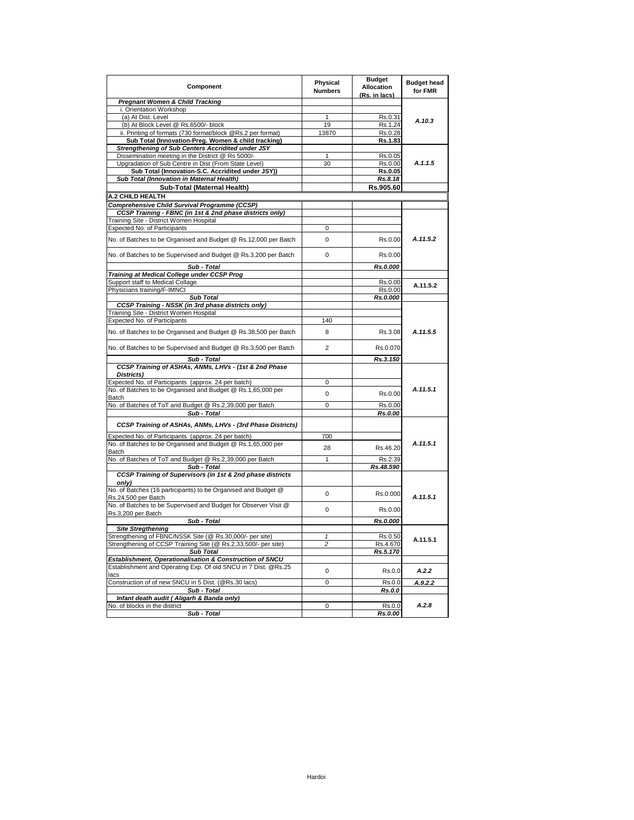| Component                                                                                                          | Physical<br><b>Numbers</b> | <b>Budget</b><br>Allocation<br>(Rs. in lacs) | <b>Budget head</b><br>for FMR |
|--------------------------------------------------------------------------------------------------------------------|----------------------------|----------------------------------------------|-------------------------------|
| <b>Pregnant Women &amp; Child Tracking</b>                                                                         |                            |                                              |                               |
| i. Orientation Workshop                                                                                            |                            |                                              |                               |
| (a) At Dist. Level                                                                                                 | 1                          | Rs.0.31                                      | A.10.3                        |
| (b) At Block Level @ Rs.6500/- block<br>ii. Printing of formats (730 format/block @Rs.2 per format)                | 19<br>13870                | Rs.1.24<br>Rs.0.28                           |                               |
| Sub Total (Innovation-Preg. Women & child tracking)                                                                |                            | Rs.1.83                                      |                               |
| Strengthening of Sub Centers Accridited under JSY                                                                  |                            |                                              |                               |
| Dissemination meeting in the District @ Rs 5000/-                                                                  | 1                          | Rs.0.05                                      |                               |
| Upgradation of Sub Centre in Dist (From State Level)                                                               | 30                         | Rs.0.00                                      | A.1.1.5                       |
| Sub Total (Innovation-S.C. Accridited under JSY))                                                                  |                            | Rs.0.05                                      |                               |
| Sub Total (Innovation in Maternal Health)                                                                          |                            | Rs.8.18                                      |                               |
| Sub-Total (Maternal Health)                                                                                        |                            | Rs.905.60                                    |                               |
| <b>A.2 CHILD HEALTH</b>                                                                                            |                            |                                              |                               |
| Comprehensive Child Survival Programme (CCSP)                                                                      |                            |                                              |                               |
| CCSP Training - FBNC (in 1st & 2nd phase districts only)                                                           |                            |                                              |                               |
| Training Site - District Women Hospital                                                                            |                            |                                              |                               |
| Expected No. of Participants                                                                                       | 0                          |                                              |                               |
| No. of Batches to be Organised and Budget @ Rs.12,000 per Batch                                                    | 0                          | Rs.0.00                                      | A.11.5.2                      |
| No. of Batches to be Supervised and Budget @ Rs.3,200 per Batch                                                    | 0                          | Rs.0.00                                      |                               |
| Sub - Total                                                                                                        |                            | Rs.0.000                                     |                               |
| Training at Medical College under CCSP Prog<br>Support staff to Medical Collage                                    |                            | Rs.0.00                                      |                               |
| Physicians training/F-IMNCI                                                                                        |                            | Rs.0.00                                      | A.11.5.2                      |
| <b>Sub Total</b>                                                                                                   |                            | Rs.0.000                                     |                               |
| CCSP Training - NSSK (in 3rd phase districts only)                                                                 |                            |                                              |                               |
| Training Site - District Women Hospital                                                                            |                            |                                              |                               |
| Expected No. of Participants                                                                                       | 140                        |                                              |                               |
| No. of Batches to be Organised and Budget @ Rs.38,500 per Batch                                                    | 8                          | Rs.3.08                                      | A.11.5.5                      |
| No. of Batches to be Supervised and Budget @ Rs.3,500 per Batch                                                    | 2                          | Rs.0.070                                     |                               |
| Sub - Total                                                                                                        |                            | Rs.3.150                                     |                               |
| CCSP Training of ASHAs, ANMs, LHVs - (1st & 2nd Phase<br>Districts)                                                |                            |                                              |                               |
| Expected No. of Participants (approx. 24 per batch)                                                                | 0                          |                                              |                               |
| No. of Batches to be Organised and Budget @ Rs.1,65,000 per                                                        | 0                          | Rs.0.00                                      | A.11.5.1                      |
| Batch                                                                                                              |                            |                                              |                               |
| No. of Batches of ToT and Budget @ Rs.2,39,000 per Batch                                                           | 0                          | Rs.0.00                                      |                               |
| Sub - Total                                                                                                        |                            | Rs.0.00                                      |                               |
| CCSP Training of ASHAs, ANMs, LHVs - (3rd Phase Districts)                                                         |                            |                                              |                               |
| Expected No. of Participants (approx. 24 per batch)<br>No. of Batches to be Organised and Budget @ Rs.1,65,000 per | 700                        |                                              | A.11.5.1                      |
| Batch                                                                                                              | 28                         | Rs.46.20                                     |                               |
| No. of Batches of ToT and Budget @ Rs.2,39,000 per Batch                                                           | $\mathbf{1}$               | Rs.2.39                                      |                               |
| Sub - Total<br>CCSP Training of Supervisors (in 1st & 2nd phase districts                                          |                            | Rs.48.590                                    |                               |
| only)                                                                                                              |                            |                                              |                               |
| No. of Batches (16 participants) to be Organised and Budget @<br>Rs.24,500 per Batch                               | 0                          | Rs.0.000                                     | A.11.5.1                      |
| No. of Batches to be Supervised and Budget for Observer Visit @                                                    |                            |                                              |                               |
| Rs.3,200 per Batch                                                                                                 | $\mathbf 0$                | Rs.0.00                                      |                               |
| Sub - Total                                                                                                        |                            | Rs.0.000                                     |                               |
| <b>Site Stregthening</b>                                                                                           |                            |                                              |                               |
| Strengthening of FBNC/NSSK Site (@ Rs.30,000/- per site)                                                           | 1                          | Rs.0.50                                      | A.11.5.1                      |
| Strengthening of CCSP Training Site (@ Rs.2,33,500/- per site)                                                     | 2                          | Rs.4.670                                     |                               |
| <b>Sub Total</b><br>Establishment, Operationalisation & Construction of SNCU                                       |                            | Rs.5.170                                     |                               |
| Establishment and Operating Exp. Of old SNCU in 7 Dist. @Rs.25                                                     |                            |                                              |                               |
| lacs                                                                                                               | 0                          | Rs.0.0                                       | A.2.2                         |
| Construction of of new SNCU in 5 Dist. (@Rs.30 lacs)                                                               | 0                          | Rs.0.0                                       | A.9.2.2                       |
| Sub - Total                                                                                                        |                            | Rs.0.0                                       |                               |
| Infant death audit (Aligarh & Banda only)                                                                          |                            |                                              |                               |
| No. of blocks in the district                                                                                      | 0                          | Rs.0.0                                       | A.2.8                         |
| Sub - Total                                                                                                        |                            | Rs.0.00                                      |                               |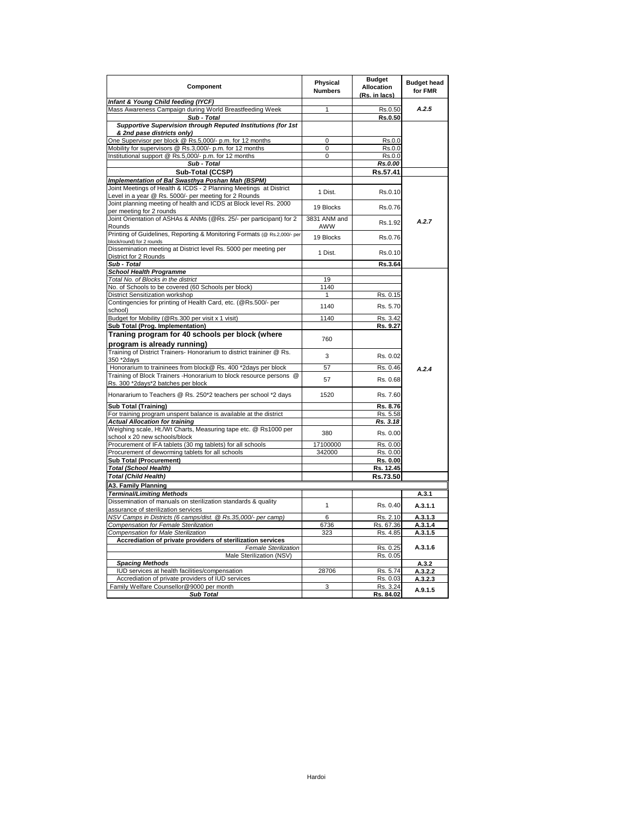| Component                                                                                                            | Physical<br><b>Numbers</b> | <b>Budget</b><br>Allocation<br>(Rs. in lacs) | <b>Budget head</b><br>for FMR |
|----------------------------------------------------------------------------------------------------------------------|----------------------------|----------------------------------------------|-------------------------------|
| Infant & Young Child feeding (IYCF)                                                                                  |                            |                                              |                               |
| Mass Awareness Campaign during World Breastfeeding Week                                                              | 1                          | Rs.0.50                                      | A.2.5                         |
| Sub - Total                                                                                                          |                            | Rs.0.50                                      |                               |
| Supportive Supervision through Reputed Institutions (for 1st                                                         |                            |                                              |                               |
| & 2nd pase districts only)                                                                                           | 0                          | Rs.0.0                                       |                               |
| One Supervisor per block @ Rs.5,000/- p.m. for 12 months<br>Mobility for supervisors @ Rs.3,000/- p.m. for 12 months | $\mathbf 0$                | Rs.0.0                                       |                               |
| Institutional support @ Rs.5,000/- p.m. for 12 months                                                                | 0                          | Rs.0.0                                       |                               |
| Sub - Total                                                                                                          |                            | Rs.0.00                                      |                               |
| Sub-Total (CCSP)                                                                                                     |                            | Rs.57.41                                     |                               |
| Implementation of Bal Swasthya Poshan Mah (BSPM)                                                                     |                            |                                              |                               |
| Joint Meetings of Health & ICDS - 2 Planning Meetings at District                                                    |                            |                                              |                               |
| Level in a year @ Rs. 5000/- per meeting for 2 Rounds                                                                | 1 Dist.                    | Rs.0.10                                      |                               |
| Joint planning meeting of health and ICDS at Block level Rs. 2000                                                    |                            |                                              |                               |
| per meeting for 2 rounds                                                                                             | 19 Blocks                  | Rs.0.76                                      |                               |
| Joint Orientation of ASHAs & ANMs (@Rs. 25/- per participant) for 2                                                  | 3831 ANM and               |                                              | A.2.7                         |
| Rounds                                                                                                               | AWW                        | Rs.1.92                                      |                               |
| Printing of Guidelines, Reporting & Monitoring Formats (@ Rs.2,000/- per<br>block/round) for 2 rounds                | 19 Blocks                  | Rs.0.76                                      |                               |
| Dissemination meeting at District level Rs. 5000 per meeting per                                                     |                            |                                              |                               |
| District for 2 Rounds                                                                                                | 1 Dist.                    | Rs.0.10                                      |                               |
| Sub - Total                                                                                                          |                            | Rs.3.64                                      |                               |
| <b>School Health Programme</b>                                                                                       |                            |                                              |                               |
| Total No. of Blocks in the district                                                                                  | 19                         |                                              |                               |
| No. of Schools to be covered (60 Schools per block)                                                                  | 1140                       |                                              |                               |
| District Sensitization workshop                                                                                      | 1                          | Rs. 0.15                                     |                               |
| Contingencies for printing of Health Card, etc. (@Rs.500/- per<br>school)                                            | 1140                       | Rs. 5.70                                     |                               |
| Budget for Mobility (@Rs.300 per visit x 1 visit)                                                                    | 1140                       | Rs. 3.42                                     |                               |
| Sub Total (Prog. Implementation)                                                                                     |                            | Rs. 9.27                                     |                               |
| Traning program for 40 schools per block (where                                                                      | 760                        |                                              |                               |
| program is already running)                                                                                          |                            |                                              |                               |
| Training of District Trainers- Honorarium to district traininer @ Rs.                                                |                            |                                              |                               |
| 350 *2days                                                                                                           | 3                          | Rs. 0.02                                     |                               |
| Honorarium to traininees from block@ Rs. 400 *2days per block                                                        | 57                         | Rs. 0.46                                     | A.2.4                         |
| Training of Block Trainers - Honorarium to block resource persons @                                                  | 57                         | Rs. 0.68                                     |                               |
| Rs. 300 *2days*2 batches per block                                                                                   |                            |                                              |                               |
| Honararium to Teachers @ Rs. 250*2 teachers per school *2 days                                                       | 1520                       | Rs. 7.60                                     |                               |
| <b>Sub Total (Training)</b>                                                                                          |                            | Rs. 8.76                                     |                               |
| For training program unspent balance is available at the district                                                    |                            | Rs. 5.58                                     |                               |
| <b>Actual Allocation for training</b>                                                                                |                            | Rs. 3.18                                     |                               |
| Weighing scale, Ht./Wt Charts, Measuring tape etc. @ Rs1000 per                                                      | 380                        | Rs. 0.00                                     |                               |
| school x 20 new schools/block                                                                                        |                            |                                              |                               |
| Procurement of IFA tablets (30 mg tablets) for all schools                                                           | 17100000                   | Rs. 0.00                                     |                               |
| Procurement of deworming tablets for all schools                                                                     | 342000                     | Rs. 0.00                                     |                               |
| <b>Sub Total (Procurement)</b>                                                                                       |                            | Rs. 0.00                                     |                               |
| Total (School Health)                                                                                                |                            | Rs. 12.45                                    |                               |
| Total (Child Health)                                                                                                 |                            | Rs.73.50                                     |                               |
| A3. Family Planning                                                                                                  |                            |                                              |                               |
| Terminal/Limiting Methods                                                                                            |                            |                                              | A.3.1                         |
| Dissemination of manuals on sterilization standards & quality                                                        | $\mathbf{1}$               | Rs. 0.40                                     | A.3.1.1                       |
| assurance of sterilization services                                                                                  |                            |                                              |                               |
| NSV Camps in Districts (6 camps/dist. @ Rs.35,000/- per camp)                                                        | 6                          | Rs. 2.10                                     | A.3.1.3                       |
| Compensation for Female Sterilization<br>Compensation for Male Sterilization                                         | 6736<br>323                | Rs. 67.36<br>Rs. 4.85                        | A.3.1.4<br>A.3.1.5            |
| Accrediation of private providers of sterilization services                                                          |                            |                                              |                               |
| <b>Female Sterilization</b>                                                                                          |                            | Rs. 0.25                                     | A.3.1.6                       |
| Male Sterilization (NSV)                                                                                             |                            | Rs. 0.05                                     |                               |
| <b>Spacing Methods</b>                                                                                               |                            |                                              | A.3.2                         |
| IUD services at health facilities/compensation                                                                       | 28706                      | Rs. 5.74                                     | A.3.2.2                       |
| Accrediation of private providers of IUD services                                                                    |                            | Rs. 0.03                                     | A.3.2.3                       |
| Family Welfare Counsellor@9000 per month                                                                             | 3                          | Rs. 3.24                                     | A.9.1.5                       |
| <b>Sub Total</b>                                                                                                     |                            | Rs. 84.02                                    |                               |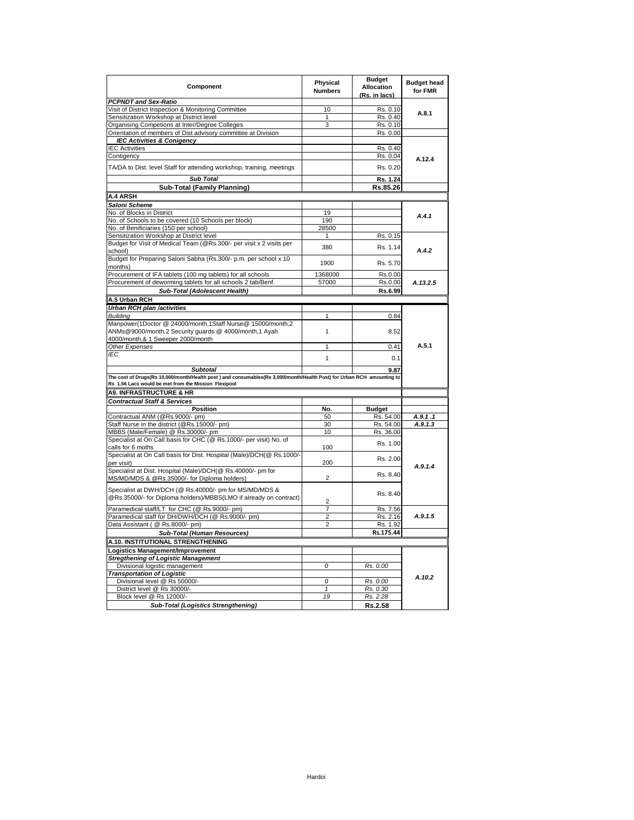| Component                                                                                                                                                                      | Physical<br><b>Numbers</b> | <b>Budget</b><br><b>Allocation</b><br>(Rs. in lacs) | <b>Budget head</b><br>for FMR |
|--------------------------------------------------------------------------------------------------------------------------------------------------------------------------------|----------------------------|-----------------------------------------------------|-------------------------------|
| <b>PCPNDT and Sex-Ratio</b>                                                                                                                                                    |                            |                                                     |                               |
| Visit of District Inspection & Monitoring Committee                                                                                                                            | 10                         | Rs. 0.10                                            | A.8.1                         |
| Sensitization Workshop at District level                                                                                                                                       | $\mathbf{1}$               | Rs. 0.40                                            |                               |
| Organising Competions at Inter/Degree Colleges                                                                                                                                 | 3                          | $\overline{Rs}$ . 0.10                              |                               |
| Orientation of members of Dist advisory committee at Division                                                                                                                  |                            | Rs. 0.00                                            |                               |
| <b>IEC Activities &amp; Conigency</b>                                                                                                                                          |                            |                                                     |                               |
| <b>IEC Activities</b>                                                                                                                                                          |                            | Rs. 0.40                                            |                               |
| Contigency                                                                                                                                                                     |                            | Rs. 0.04                                            | A.12.4                        |
| TA/DA to Dist. level Staff for attending workshop, training, meetings                                                                                                          |                            | Rs. 0.20                                            |                               |
| <b>Sub Total</b>                                                                                                                                                               |                            | Rs. 1.24                                            |                               |
| <b>Sub-Total (Family Planning)</b>                                                                                                                                             |                            | Rs.85.26                                            |                               |
| A.4 ARSH                                                                                                                                                                       |                            |                                                     |                               |
| Saloni Scheme                                                                                                                                                                  |                            |                                                     |                               |
| No. of Blocks in District                                                                                                                                                      | 19                         |                                                     | A.4.1                         |
| No. of Schools to be covered (10 Schools per block)                                                                                                                            | 190                        |                                                     |                               |
| No. of Benificiaries (150 per school)                                                                                                                                          | 28500                      |                                                     |                               |
| Sensitization Workshop at District level                                                                                                                                       | 1                          | Rs. 0.15                                            |                               |
| Budget for Visit of Medical Team (@Rs.300/- per visit x 2 visits per<br>school)                                                                                                | 380                        | Rs. 1.14                                            | A.4.2                         |
| Budget for Preparing Saloni Sabha (Rs.300/- p.m. per school x 10<br>months)                                                                                                    | 1900                       | Rs. 5.70                                            |                               |
| Procurement of IFA tablets (100 mg tablets) for all schools                                                                                                                    | 1368000                    | Rs.0.00                                             |                               |
| Procurement of deworming tablets for all schools 2 tab/Benf.                                                                                                                   | 57000                      | Rs.0.00                                             | A.13.2.5                      |
| Sub-Total (Adolescent Health)                                                                                                                                                  |                            | Rs.6.99                                             |                               |
| A.5 Urban RCH                                                                                                                                                                  |                            |                                                     |                               |
|                                                                                                                                                                                |                            |                                                     |                               |
| Urban RCH plan /activities                                                                                                                                                     |                            |                                                     |                               |
| <b>Building</b>                                                                                                                                                                | 1                          | 0.84                                                |                               |
| Manpower(1Doctor @ 24000/month,1Staff Nurse@ 15000/month,2<br>ANMs@9000/month,2 Security quards @ 4000/month,1 Ayah<br>4000/month,& 1 Sweeper 2000/month                       | $\mathbf{1}$               | 8.52                                                |                               |
| Other Expenses                                                                                                                                                                 | 1                          | 0.41                                                | A.5.1                         |
| <b>IEC</b>                                                                                                                                                                     |                            |                                                     |                               |
|                                                                                                                                                                                | $\mathbf{1}$               | 0.1                                                 |                               |
| <b>Subtotal</b>                                                                                                                                                                |                            | 9.87                                                |                               |
| The cost of Drugs(Rs 10,000/month/Health post ) and consumables(Rs 3,000/month/Health Post) for Urban RCH amounting to<br>Rs 1.56 Lacs would be met from the Mission Flexipool |                            |                                                     |                               |
| <b>A9. INFRASTRUCTURE &amp; HR</b>                                                                                                                                             |                            |                                                     |                               |
| <b>Contractual Staff &amp; Services</b>                                                                                                                                        |                            |                                                     |                               |
| <b>Position</b>                                                                                                                                                                | No.                        | <b>Budget</b>                                       |                               |
| Contractual ANM (@Rs.9000/- pm)                                                                                                                                                | 50                         | Rs. 54.00                                           | A.9.1.1                       |
| Staff Nurse in the district (@Rs.15000/- pm)                                                                                                                                   | 30                         | Rs. 54.00                                           | A.9.1.3                       |
| MBBS (Male/Female) @ Rs.30000/- pm                                                                                                                                             | 10                         | Rs. 36.00                                           |                               |
| Specialist at On Call basis for CHC (@ Rs.1000/- per visit) No. of                                                                                                             |                            | Rs. 1.00                                            |                               |
| calls for 6 moths<br>Specialist at On Call basis for Dist. Hospital (Male)/DCH(@ Rs.1000/-                                                                                     | 100                        |                                                     |                               |
| per visit)                                                                                                                                                                     | 200                        | Rs. 2.00                                            | A.9.1.4                       |
| Specialist at Dist. Hospital (Male)/DCH(@ Rs.40000/- pm for<br>MS/MD/MDS & @Rs.35000/- for Diploma holders)                                                                    | 2                          | Rs. 8.40                                            |                               |
| Specialist at DWH/DCH (@ Rs.40000/- pm for MS/MD/MDS &<br>@Rs.35000/- for Diploma holders)/MBBS(LMO if already on contract)                                                    | $\overline{2}$             | Rs. 8.40                                            |                               |
| Paramedical staff/LT for CHC (@ Rs.9000/- pm)                                                                                                                                  | 7                          | Rs. 7.56                                            |                               |
| Paramedical staff for DH/DWH/DCH (@ Rs.9000/- pm)                                                                                                                              | $\overline{2}$             | Rs. 2.16                                            | A.9.1.5                       |
| Data Assistant ( @ Rs.8000/- pm)                                                                                                                                               | $\overline{2}$             | Rs. 1.92                                            |                               |
| <b>Sub-Total (Human Resources)</b>                                                                                                                                             |                            | Rs.175.44                                           |                               |
| A.10. INSTITUTIONAL STRENGTHENING                                                                                                                                              |                            |                                                     |                               |
| Logistics Management/Improvement                                                                                                                                               |                            |                                                     |                               |
| <b>Stregthening of Logistic Management</b>                                                                                                                                     |                            |                                                     |                               |
|                                                                                                                                                                                | Ō                          |                                                     |                               |
| Divisional logistic management                                                                                                                                                 |                            | Rs. 0.00                                            |                               |
| <b>Transportation of Logistic</b>                                                                                                                                              | 0                          | Rs. 0.00                                            | A.10.2                        |
| Divisional level @ Rs 50000/-<br>District level @ Rs 30000/-                                                                                                                   | 1                          | Rs. 0.30                                            |                               |
| Block level @ Rs 12000/-                                                                                                                                                       | 19                         | Rs. 2.28                                            |                               |
|                                                                                                                                                                                |                            |                                                     |                               |
| Sub-Total (Logistics Strengthening)                                                                                                                                            |                            | Rs.2.58                                             |                               |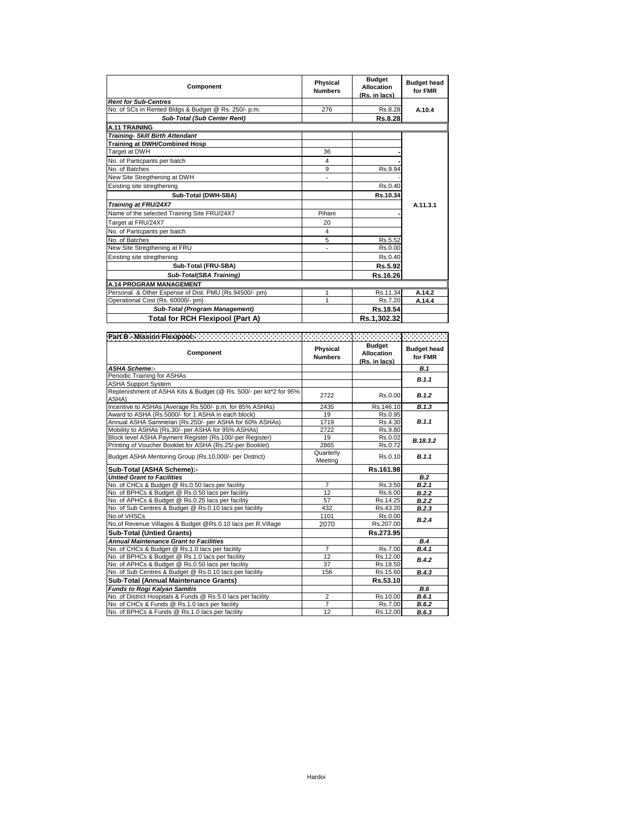| Component                                             | Physical<br><b>Numbers</b> | <b>Budget</b><br><b>Allocation</b><br>(Rs. in lacs) | <b>Budget head</b><br>for FMR |
|-------------------------------------------------------|----------------------------|-----------------------------------------------------|-------------------------------|
| <b>Rent for Sub-Centres</b>                           |                            |                                                     |                               |
| No. of SCs in Rented Bldgs & Budget @ Rs. 250/- p.m.  | 276                        | Rs.8.28                                             | A.10.4                        |
| <b>Sub-Total (Sub Center Rent)</b>                    |                            | Rs.8.28                                             |                               |
| <b>A.11 TRAINING</b>                                  |                            |                                                     |                               |
| <b>Training- Skill Birth Attendant</b>                |                            |                                                     |                               |
| <b>Training at DWH/Combined Hosp</b>                  |                            |                                                     |                               |
| Target at DWH                                         | 36                         |                                                     |                               |
| No. of Particpants per batch                          | 4                          |                                                     |                               |
| No. of Batches                                        | 9                          | Rs.9.94                                             |                               |
| New Site Stregthening at DWH                          |                            |                                                     |                               |
| Existing site stregthening                            |                            | Rs.0.40                                             |                               |
| Sub-Total (DWH-SBA)                                   |                            | Rs.10.34                                            |                               |
| Training at FRU/24X7                                  |                            |                                                     | A.11.3.1                      |
| Name of the selected Training Site FRU/24X7           | Pihani                     |                                                     |                               |
| Target at FRU/24X7                                    | 20                         |                                                     |                               |
| No. of Particpants per batch                          | 4                          |                                                     |                               |
| No. of Batches                                        | 5                          | Rs.5.52                                             |                               |
| New Site Stregthening at FRU                          |                            | Rs.0.00                                             |                               |
| Existing site stregthening                            |                            | Rs.0.40                                             |                               |
| Sub-Total (FRU-SBA)                                   |                            | Rs.5.92                                             |                               |
| Sub-Total(SBA Training)                               |                            | Rs.16.26                                            |                               |
| <b>A.14 PROGRAM MANAGEMENT</b>                        |                            |                                                     |                               |
| Personal & Other Expense of Dist. PMU (Rs.94500/- pm) |                            | Rs.11.34                                            | A.14.2                        |
| Operational Cost (Rs. 60000/- pm)                     | 1                          | Rs.7.20                                             | A.14.4                        |
| Sub-Total (Program Management)                        |                            | Rs.18.54                                            |                               |
| Total for RCH Flexipool (Part A)                      |                            | Rs.1,302.32                                         |                               |

| Part B - Mission Flexipool -                                                |                            |                                                     |                               |
|-----------------------------------------------------------------------------|----------------------------|-----------------------------------------------------|-------------------------------|
| Component                                                                   | Physical<br><b>Numbers</b> | <b>Budget</b><br><b>Allocation</b><br>(Rs. in lacs) | <b>Budget head</b><br>for FMR |
| <b>ASHA Scheme:-</b>                                                        |                            |                                                     | <b>B.1</b>                    |
| Periodic Training for ASHAs                                                 |                            |                                                     | B.1.1                         |
| <b>ASHA Support System</b>                                                  |                            |                                                     |                               |
| Replenishment of ASHA Kits & Budget (@ Rs. 500/- per kit*2 for 95%<br>ASHA) | 2722                       | Rs.0.00                                             | B.1.2                         |
| Incentive to ASHAs (Average Rs.500/- p.m. for 85% ASHAs)                    | 2435                       | Rs.146.10                                           | B.1.3                         |
| Award to ASHA (Rs.5000/- for 1 ASHA in each block)                          | 19                         | Rs.0.95                                             |                               |
| Annual ASHA Sammelan (Rs.250/- per ASHA for 60% ASHAs)                      | 1719                       | Rs.4.30                                             | B.1.1                         |
| Mobility to ASHAs (Rs.30/- per ASHA for 95% ASHAs)                          | 2722                       | Rs.9.80                                             |                               |
| Block level ASHA Payment Register (Rs.100/-per Register)                    | 19                         | Rs.0.02                                             | B.18.3.2                      |
| Printing of Voucher Booklet for ASHA (Rs.25/-per Booklet)                   | 2865                       | Rs.0.72                                             |                               |
| Budget ASHA Mentoring Group (Rs.10,000/- per District)                      | Quarterly<br>Meeting       | Rs.0.10                                             | B.1.1                         |
| Sub-Total (ASHA Scheme):-                                                   |                            | Rs.161.98                                           |                               |
| <b>Untied Grant to Facilities</b>                                           |                            |                                                     | B.2                           |
| No. of CHCs & Budget @ Rs.0.50 lacs per facility                            | $\overline{7}$             | Rs.3.50                                             | B.2.1                         |
| No. of BPHCs & Budget @ Rs.0.50 lacs per facility                           | 12                         | Rs.6.00                                             | B.2.2                         |
| No. of APHCs & Budget @ Rs.0.25 lacs per facility                           | 57                         | Rs.14.25                                            | B.2.2                         |
| No. of Sub Centres & Budget @ Rs.0.10 lacs per facility                     | 432                        | Rs.43.20                                            | B.2.3                         |
| No.of VHSCs                                                                 | 1101                       | Rs.0.00                                             | B.2.4                         |
| No.of Revenue Villages & Budget @Rs.0.10 lacs per R.Village                 | 2070                       | Rs.207.00                                           |                               |
| <b>Sub-Total (Untied Grants)</b>                                            |                            | Rs.273.95                                           |                               |
| <b>Annual Maintenance Grant to Facilities</b>                               |                            |                                                     | B.4                           |
| No. of CHCs & Budget @ Rs.1.0 lacs per facility                             | $\overline{7}$             | Rs.7.00                                             | B.4.1                         |
| No. of BPHCs & Budget @ Rs.1.0 lacs per facility                            | 12                         | Rs.12.00                                            | B.4.2                         |
| No. of APHCs & Budget @ Rs.0.50 lacs per facility                           | 37                         | Rs.18.50                                            |                               |
| No. of Sub Centres & Budget @ Rs.0.10 lacs per facility                     | 156                        | Rs.15.60                                            | B.4.3                         |
| Sub-Total (Annual Maintenance Grants)                                       |                            | Rs.53.10                                            |                               |
| <b>Funds to Rogi Kalyan Samitis</b>                                         |                            |                                                     | B.6                           |
| No. of District Hospitals & Funds @ Rs.5.0 lacs per facility                | $\overline{2}$             | Rs.10.00                                            | B.6.1                         |
| No. of CHCs & Funds @ Rs.1.0 lacs per facility                              | $\overline{7}$             | Rs.7.00                                             | B.6.2                         |
| No. of BPHCs & Funds @ Rs.1.0 lacs per facility                             | 12                         | Rs.12.00                                            | B.6.3                         |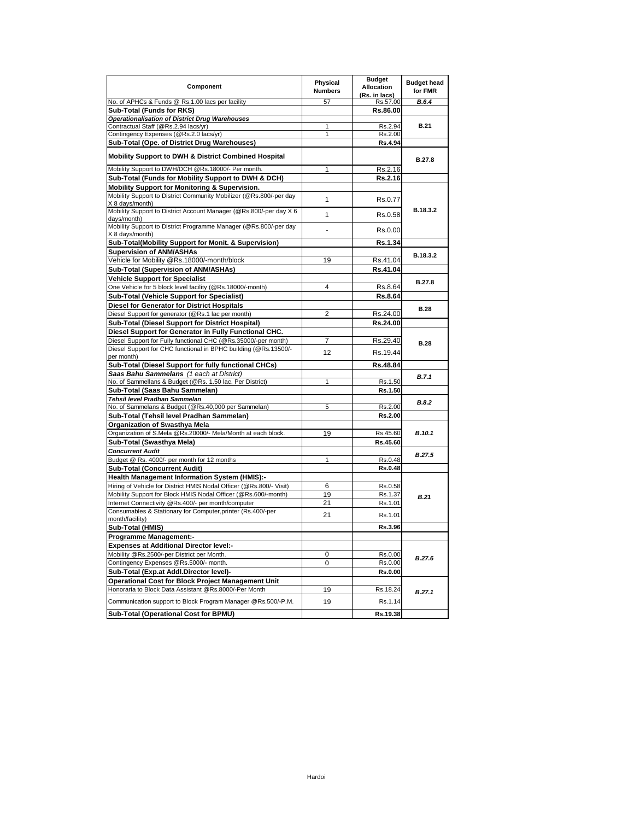| Component                                                                                                            | Physical<br><b>Numbers</b> | <b>Budget</b><br><b>Allocation</b><br>(Rs. in lacs) | <b>Budget head</b><br>for FMR |
|----------------------------------------------------------------------------------------------------------------------|----------------------------|-----------------------------------------------------|-------------------------------|
| No. of APHCs & Funds @ Rs.1.00 lacs per facility                                                                     | 57                         | Rs.57.00                                            | B.6.4                         |
| Sub-Total (Funds for RKS)                                                                                            |                            | Rs.86.00                                            |                               |
| Operationalisation of District Drug Warehouses                                                                       |                            |                                                     |                               |
| Contractual Staff (@Rs.2.94 lacs/yr)                                                                                 | 1                          | Rs.2.94                                             | <b>B.21</b>                   |
| Contingency Expenses (@Rs.2.0 lacs/yr)                                                                               | 1                          | Rs.2.00                                             |                               |
| Sub-Total (Ope. of District Drug Warehouses)                                                                         |                            | <b>Rs.4.94</b>                                      |                               |
| Mobility Support to DWH & District Combined Hospital                                                                 |                            |                                                     | <b>B.27.8</b>                 |
| Mobility Support to DWH/DCH @Rs.18000/- Per month.                                                                   | 1                          | Rs.2.16                                             |                               |
| Sub-Total (Funds for Mobility Support to DWH & DCH)                                                                  |                            | Rs.2.16                                             |                               |
| Mobility Support for Monitoring & Supervision.<br>Mobility Support to District Community Mobilizer (@Rs.800/-per day |                            |                                                     |                               |
| X 8 days/month)                                                                                                      | 1                          | Rs.0.77                                             |                               |
| Mobility Support to District Account Manager (@Rs.800/-per day X 6                                                   |                            |                                                     | B.18.3.2                      |
| days/month)                                                                                                          | $\mathbf{1}$               | Rs.0.58                                             |                               |
| Mobility Support to District Programme Manager (@Rs.800/-per day                                                     |                            | Rs.0.00                                             |                               |
| X 8 days/month)                                                                                                      |                            |                                                     |                               |
| Sub-Total(Mobility Support for Monit. & Supervision)                                                                 |                            | Rs.1.34                                             |                               |
| <b>Supervision of ANM/ASHAs</b>                                                                                      |                            |                                                     | B.18.3.2                      |
| Vehicle for Mobility @Rs.18000/-month/block                                                                          | 19                         | Rs.41.04                                            |                               |
| Sub-Total (Supervision of ANM/ASHAs)                                                                                 |                            | Rs.41.04                                            |                               |
| <b>Vehicle Support for Specialist</b>                                                                                |                            |                                                     | B.27.8                        |
| One Vehicle for 5 block level facility (@Rs.18000/-month)                                                            | 4                          | Rs.8.64                                             |                               |
| Sub-Total (Vehicle Support for Specialist)                                                                           |                            | Rs.8.64                                             |                               |
| <b>Diesel for Generator for District Hospitals</b>                                                                   |                            |                                                     | <b>B.28</b>                   |
| Diesel Support for generator (@Rs.1 lac per month)                                                                   | 2                          | Rs.24.00                                            |                               |
| Sub-Total (Diesel Support for District Hospital)                                                                     |                            | Rs.24.00                                            |                               |
| Diesel Support for Generator in Fully Functional CHC.                                                                |                            |                                                     |                               |
| Diesel Support for Fully functional CHC (@Rs.35000/-per month)                                                       | 7                          | Rs.29.40                                            | <b>B.28</b>                   |
| Diesel Support for CHC functional in BPHC building (@Rs.13500/-                                                      | 12 <sup>2</sup>            | Rs.19.44                                            |                               |
| per month)                                                                                                           |                            |                                                     |                               |
| Sub-Total (Diesel Support for fully functional CHCs)                                                                 |                            | Rs.48.84                                            |                               |
| Saas Bahu Sammelans (1 each at District)<br>No. of Sammellans & Budget (@Rs. 1.50 lac. Per District)                 | 1                          | Rs.1.50                                             | <b>B.7.1</b>                  |
| Sub-Total (Saas Bahu Sammelan)                                                                                       |                            | Rs.1.50                                             |                               |
| Tehsil level Pradhan Sammelan                                                                                        |                            |                                                     |                               |
| No. of Sammelans & Budget (@Rs.40,000 per Sammelan)                                                                  | 5                          | Rs.2.00                                             | <b>B.8.2</b>                  |
| Sub-Total (Tehsil level Pradhan Sammelan)                                                                            |                            | Rs.2.00                                             |                               |
| Organization of Swasthya Mela                                                                                        |                            |                                                     |                               |
| Organization of S.Mela @Rs.20000/- Mela/Month at each block.                                                         | 19                         | Rs.45.60                                            | B.10.1                        |
| Sub-Total (Swasthya Mela)                                                                                            |                            | Rs.45.60                                            |                               |
| <b>Concurrent Audit</b>                                                                                              |                            |                                                     | B.27.5                        |
| Budget @ Rs. 4000/- per month for 12 months                                                                          | 1                          | Rs.0.48                                             |                               |
| <b>Sub-Total (Concurrent Audit)</b>                                                                                  |                            | Rs.0.48                                             |                               |
| <b>Health Management Information System (HMIS):-</b>                                                                 |                            |                                                     |                               |
| Hiring of Vehicle for District HMIS Nodal Officer (@Rs.800/- Visit)                                                  | 6                          | Rs.0.58                                             |                               |
| Mobility Support for Block HMIS Nodal Officer (@Rs.600/-month)                                                       | 19                         | Rs.1.37                                             | <b>B.21</b>                   |
| Internet Connectivity @Rs.400/- per month/computer                                                                   | 21                         | Rs.1.01                                             |                               |
| Consumables & Stationary for Computer, printer (Rs.400/-per                                                          | 21                         | Rs.1.01                                             |                               |
| month/facility)                                                                                                      |                            | Rs.3.96                                             |                               |
| Sub-Total (HMIS)                                                                                                     |                            |                                                     |                               |
| <b>Programme Management:-</b>                                                                                        |                            |                                                     |                               |
| <b>Expenses at Additional Director level:-</b>                                                                       |                            |                                                     |                               |
| Mobility @Rs.2500/-per District per Month.                                                                           | 0<br>0                     | Rs.0.00                                             | B.27.6                        |
| Contingency Expenses @Rs.5000/- month.                                                                               |                            | Rs.0.00                                             |                               |
| Sub-Total (Exp.at Addl.Director level)-                                                                              |                            | Rs.0.00                                             |                               |
| <b>Operational Cost for Block Project Management Unit</b><br>Honoraria to Block Data Assistant @Rs.8000/-Per Month   |                            |                                                     |                               |
|                                                                                                                      | 19                         | Rs.18.24                                            | B.27.1                        |
| Communication support to Block Program Manager @Rs.500/-P.M.                                                         | 19                         | Rs.1.14                                             |                               |
| Sub-Total (Operational Cost for BPMU)                                                                                |                            | Rs.19.38                                            |                               |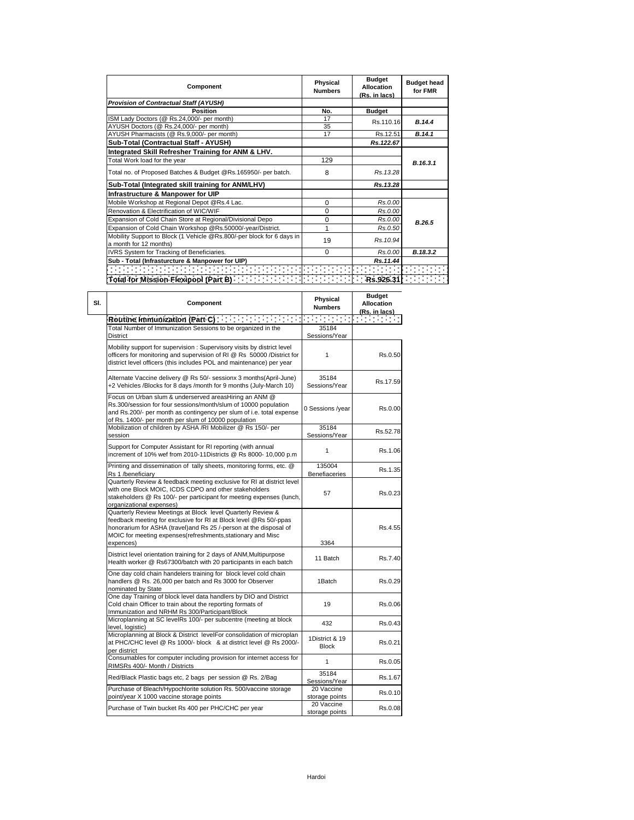| Component                                                             | Physical<br><b>Numbers</b> | <b>Budget</b><br><b>Allocation</b><br>(Rs. in lacs) | <b>Budget head</b><br>for FMR                                                                   |  |
|-----------------------------------------------------------------------|----------------------------|-----------------------------------------------------|-------------------------------------------------------------------------------------------------|--|
| <b>Provision of Contractual Staff (AYUSH)</b>                         |                            |                                                     |                                                                                                 |  |
| Position                                                              | No.                        | <b>Budget</b>                                       |                                                                                                 |  |
| ISM Lady Doctors (@ Rs.24,000/- per month)                            | 17                         | Rs.110.16                                           | B.14.4                                                                                          |  |
| AYUSH Doctors (@ Rs.24,000/- per month)                               | 35                         |                                                     |                                                                                                 |  |
| AYUSH Pharmacists (@ Rs.9,000/- per month)                            | 17                         | Rs.12.51                                            | B.14.1                                                                                          |  |
| Sub-Total (Contractual Staff - AYUSH)                                 |                            | Rs.122.67                                           |                                                                                                 |  |
| Integrated Skill Refresher Training for ANM & LHV.                    |                            |                                                     |                                                                                                 |  |
| Total Work load for the year                                          | 129                        |                                                     | B.16.3.1                                                                                        |  |
| Total no. of Proposed Batches & Budget @Rs.165950/- per batch.        | 8                          | Rs. 13.28                                           |                                                                                                 |  |
| Sub-Total (Integrated skill training for ANM/LHV)                     |                            | Rs.13.28                                            |                                                                                                 |  |
| Infrastructure & Manpower for UIP                                     |                            |                                                     |                                                                                                 |  |
| Mobile Workshop at Regional Depot @Rs.4 Lac.                          | $\Omega$                   | Rs.0.00                                             |                                                                                                 |  |
| Renovation & Electrification of WIC/WIF                               | $\Omega$                   | Rs.0.00                                             |                                                                                                 |  |
| Expansion of Cold Chain Store at Regional/Divisional Depo             | $\Omega$                   | Rs.0.00                                             | B.26.5                                                                                          |  |
| Expansion of Cold Chain Workshop @Rs.50000/-year/District.            | 1                          | Rs.0.50                                             |                                                                                                 |  |
| Mobility Support to Block (1 Vehicle @Rs.800/-per block for 6 days in | 19                         | Rs. 10.94                                           |                                                                                                 |  |
| a month for 12 months)                                                |                            |                                                     |                                                                                                 |  |
| IVRS System for Tracking of Beneficiaries.                            | $\Omega$                   | Rs.0.00                                             | B.18.3.2                                                                                        |  |
| Sub - Total (Infrasturcture & Manpower for UIP)                       |                            | Rs.11.44                                            |                                                                                                 |  |
|                                                                       |                            |                                                     | $\mathcal{L}^{\mathcal{L}}$ , and $\mathcal{L}^{\mathcal{L}}$ , and $\mathcal{L}^{\mathcal{L}}$ |  |
|                                                                       |                            |                                                     |                                                                                                 |  |

| Component                                                                                                                                                                                                                                                                         | Physical<br><b>Numbers</b>     | <b>Budget</b><br>Allocation<br>(Rs. in lacs) |
|-----------------------------------------------------------------------------------------------------------------------------------------------------------------------------------------------------------------------------------------------------------------------------------|--------------------------------|----------------------------------------------|
| <b>Routine Immunization (Part C)</b>                                                                                                                                                                                                                                              | <b>Contract Contract</b>       |                                              |
| Total Number of Immunization Sessions to be organized in the<br><b>District</b>                                                                                                                                                                                                   | 35184<br>Sessions/Year         |                                              |
| Mobility support for supervision : Supervisory visits by district level<br>officers for monitoring and supervision of RI @ Rs 50000 /District for<br>district level officers (this includes POL and maintenance) per year                                                         | $\mathbf{1}$                   | Rs.0.50                                      |
| Alternate Vaccine delivery @ Rs 50/- sessionx 3 months(April-June)<br>+2 Vehicles /Blocks for 8 days /month for 9 months (July-March 10)                                                                                                                                          | 35184<br>Sessions/Year         | Rs.17.59                                     |
| Focus on Urban slum & underserved areasHiring an ANM @<br>Rs.300/session for four sessions/month/slum of 10000 population<br>and Rs.200/- per month as contingency per slum of i.e. total expense<br>of Rs. 1400/- per month per slum of 10000 population                         | 0 Sessions /year               | Rs.0.00                                      |
| Mobilization of children by ASHA /RI Mobilizer @ Rs 150/- per<br>session                                                                                                                                                                                                          | 35184<br>Sessions/Year         | Rs.52.78                                     |
| Support for Computer Assistant for RI reporting (with annual<br>increment of 10% wef from 2010-11Districts @ Rs 8000- 10,000 p.m                                                                                                                                                  | $\mathbf{1}$                   | Rs.1.06                                      |
| Printing and dissemination of tally sheets, monitoring forms, etc. @<br>Rs 1 /beneficiary                                                                                                                                                                                         | 135004<br><b>Benefiaceries</b> | Rs.1.35                                      |
| Quarterly Review & feedback meeting exclusive for RI at district level<br>with one Block MOIC, ICDS CDPO and other stakeholders<br>stakeholders @ Rs 100/- per participant for meeting expenses (lunch,<br>organizational expenses)                                               | 57                             | Rs.0.23                                      |
| Quarterly Review Meetings at Block level Quarterly Review &<br>feedback meeting for exclusive for RI at Block level @Rs 50/-ppas<br>honorarium for ASHA (travel)and Rs 25 /-person at the disposal of<br>MOIC for meeting expenses(refreshments, stationary and Misc<br>expences) | 3364                           | Rs.4.55                                      |
| District level orientation training for 2 days of ANM, Multipurpose<br>Health worker @ Rs67300/batch with 20 participants in each batch                                                                                                                                           | 11 Batch                       | Rs.7.40                                      |
| One day cold chain handelers training for block level cold chain<br>handlers @ Rs. 26,000 per batch and Rs 3000 for Observer<br>nominated by State                                                                                                                                | 1Batch                         | Rs.0.29                                      |
| One day Training of block level data handlers by DIO and District<br>Cold chain Officer to train about the reporting formats of<br>Immunization and NRHM Rs 300/Participant/Block                                                                                                 | 19                             | Rs.0.06                                      |
| Microplanning at SC levelRs 100/- per subcentre (meeting at block<br>level, logistic)                                                                                                                                                                                             | 432                            | Rs.0.43                                      |
| Microplanning at Block & District levelFor consolidation of microplan<br>at PHC/CHC level @ Rs 1000/- block & at district level @ Rs 2000/-<br>per district                                                                                                                       | 1District & 19<br><b>Block</b> | Rs.0.21                                      |
| Consumables for computer including provision for internet access for<br>RIMSRs 400/- Month / Districts                                                                                                                                                                            | 1                              | Rs.0.05                                      |
| Red/Black Plastic bags etc, 2 bags per session @ Rs. 2/Bag                                                                                                                                                                                                                        | 35184<br>Sessions/Year         | Rs.1.67                                      |
| Purchase of Bleach/Hypochlorite solution Rs. 500/vaccine storage<br>point/year X 1000 vaccine storage points                                                                                                                                                                      | 20 Vaccine<br>storage points   | Rs.0.10                                      |
| Purchase of Twin bucket Rs 400 per PHC/CHC per year                                                                                                                                                                                                                               | 20 Vaccine<br>storage points   | Rs.0.08                                      |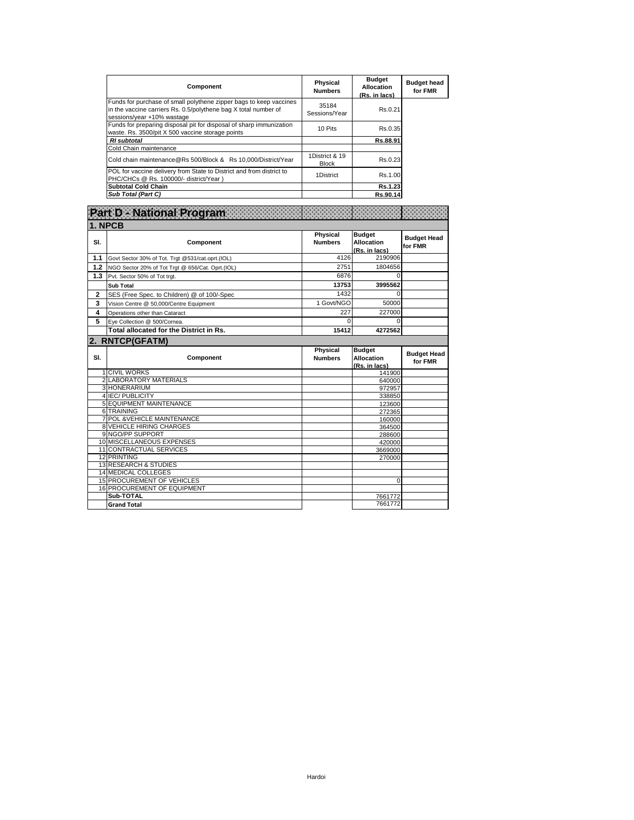| Component                                                                                                                                                           | <b>Physical</b><br><b>Numbers</b> | <b>Budget</b><br>Allocation<br>(Rs. in lacs) | <b>Budget head</b><br>for FMR |
|---------------------------------------------------------------------------------------------------------------------------------------------------------------------|-----------------------------------|----------------------------------------------|-------------------------------|
| Funds for purchase of small polythene zipper bags to keep vaccines<br>in the vaccine carriers Rs. 0.5/polythene bag X total number of<br>sessions/year +10% wastage | 35184<br>Sessions/Year            | Rs.0.21                                      |                               |
| Funds for preparing disposal pit for disposal of sharp immunization<br>waste. Rs. 3500/pit X 500 vaccine storage points                                             | 10 Pits                           | Rs.0.35                                      |                               |
| <b>RI</b> subtotal                                                                                                                                                  |                                   | Rs.88.91                                     |                               |
| Cold Chain maintenance                                                                                                                                              |                                   |                                              |                               |
| Cold chain maintenance@Rs 500/Block & Rs 10.000/District/Year                                                                                                       | 1District & 19<br><b>Block</b>    | Rs.0.23                                      |                               |
| POL for vaccine delivery from State to District and from district to<br>PHC/CHCs @ Rs. 100000/- district/Year)                                                      | 1District                         | Rs.1.00                                      |                               |
| <b>Subtotal Cold Chain</b>                                                                                                                                          |                                   | Rs.1.23                                      |                               |
| Sub Total (Part C)                                                                                                                                                  |                                   | Rs.90.14                                     |                               |

## **Part D - National Program**

| 1. NPCB         |                                                  |                            |                                                     |                               |
|-----------------|--------------------------------------------------|----------------------------|-----------------------------------------------------|-------------------------------|
| SI.             | Component                                        | Physical<br><b>Numbers</b> | <b>Budget</b><br><b>Allocation</b><br>(Rs. in lacs) | <b>Budget Head</b><br>for FMR |
| 1.1             | Govt Sector 30% of Tot. Trgt @531/cat.oprt.(IOL) | 4126                       | 2190906                                             |                               |
| 1.2             | NGO Sector 20% of Tot Trgt @ 656/Cat. Oprt.(IOL) | 2751                       | 1804656                                             |                               |
| 1.3             | Pvt. Sector 50% of Tot trgt.                     | 6876                       |                                                     |                               |
|                 | <b>Sub Total</b>                                 | 13753                      | 3995562                                             |                               |
| 2               | SES (Free Spec. to Children) @ of 100/-Spec      | 1432                       | 0                                                   |                               |
| 3               | Vision Centre @ 50,000/Centre Equipment          | 1 Govt/NGO                 | 50000                                               |                               |
| 4               | Operations other than Cataract                   | 227                        | 227000                                              |                               |
| 5               | Eye Collection @ 500/Cornea.                     | 0                          | 0                                                   |                               |
|                 | Total allocated for the District in Rs.          | 15412                      | 4272562                                             |                               |
| 2. RNTCP(GFATM) |                                                  |                            |                                                     |                               |
|                 |                                                  | -- - -                     | .                                                   |                               |

| SI. | Component                          | Physical<br><b>Numbers</b> | <b>Budget</b><br><b>Allocation</b> | <b>Budget Head</b> |
|-----|------------------------------------|----------------------------|------------------------------------|--------------------|
|     |                                    |                            | (Rs. in lacs)                      | for FMR            |
|     | <b>CIVIL WORKS</b>                 |                            | 141900                             |                    |
|     | 2 LABORATORY MATERIALS             |                            | 640000                             |                    |
|     | 3 HONERARIUM                       |                            | 972957                             |                    |
|     | 4 IEC/PUBLICITY                    |                            | 338850                             |                    |
|     | <b>5 EQUIPMENT MAINTENANCE</b>     |                            | 123600                             |                    |
|     | 6 TRAINING                         |                            | 272365                             |                    |
|     | POL & VEHICLE MAINTENANCE          |                            | 160000                             |                    |
|     | <b>8 VEHICLE HIRING CHARGES</b>    |                            | 364500                             |                    |
|     | 9 NGO/PP SUPPORT                   |                            | 288600                             |                    |
|     | 10 MISCELLANEOUS EXPENSES          |                            | 420000                             |                    |
|     | 11 CONTRACTUAL SERVICES            |                            | 3669000                            |                    |
|     | 12 PRINTING                        |                            | 270000                             |                    |
|     | <b>13 RESEARCH &amp; STUDIES</b>   |                            |                                    |                    |
|     | <b>14 MEDICAL COLLEGES</b>         |                            |                                    |                    |
|     | <b>15 PROCUREMENT OF VEHICLES</b>  |                            | $\Omega$                           |                    |
|     | <b>16 PROCUREMENT OF EQUIPMENT</b> |                            |                                    |                    |
|     | Sub-TOTAL                          |                            | 7661772                            |                    |
|     | <b>Grand Total</b>                 |                            | 7661772                            |                    |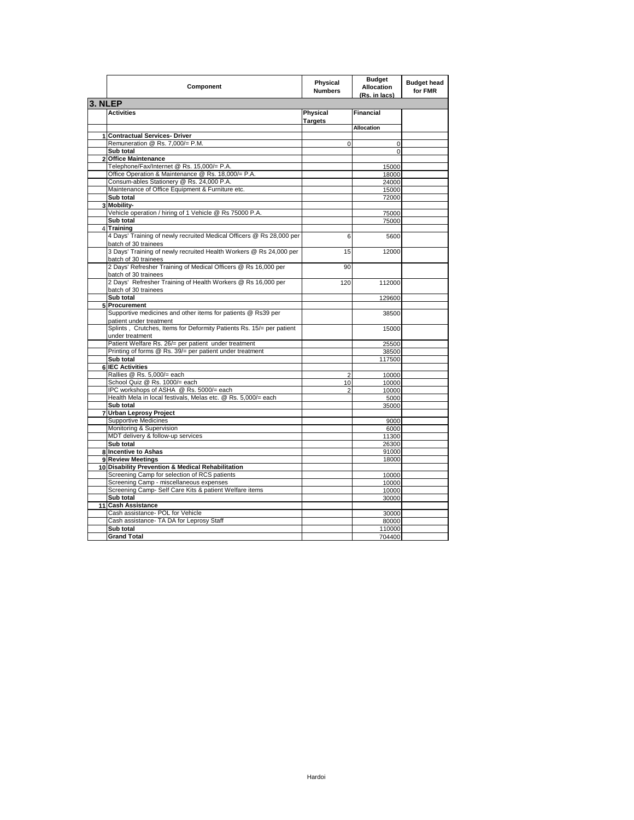|         | Component                                                                                       | Physical<br><b>Numbers</b> | <b>Budget</b><br>Allocation<br>(Rs. in lacs) | <b>Budget head</b><br>for FMR |
|---------|-------------------------------------------------------------------------------------------------|----------------------------|----------------------------------------------|-------------------------------|
| 3. NLEP |                                                                                                 |                            |                                              |                               |
|         | <b>Activities</b>                                                                               | Physical<br><b>Targets</b> | Financial                                    |                               |
|         |                                                                                                 |                            | <b>Allocation</b>                            |                               |
|         | 1 Contractual Services- Driver                                                                  |                            |                                              |                               |
|         | Remuneration @ Rs. 7,000/= P.M.                                                                 | $\Omega$                   | $\mathbf 0$                                  |                               |
|         | Sub total                                                                                       |                            | 0                                            |                               |
|         | 2 Office Maintenance                                                                            |                            |                                              |                               |
|         | Telephone/Fax/Internet @ Rs. 15,000/= P.A.                                                      |                            | 15000                                        |                               |
|         | Office Operation & Maintenance @ Rs. 18,000/= P.A.<br>Consum-ables Stationery @ Rs. 24,000 P.A. |                            | 18000                                        |                               |
|         | Maintenance of Office Equipment & Furniture etc.                                                |                            | 24000<br>15000                               |                               |
|         | Sub total                                                                                       |                            | 72000                                        |                               |
|         | 3 Mobility-                                                                                     |                            |                                              |                               |
|         | Vehicle operation / hiring of 1 Vehicle @ Rs 75000 P.A.                                         |                            | 75000                                        |                               |
|         | Sub total                                                                                       |                            | 75000                                        |                               |
|         | 4 Training                                                                                      |                            |                                              |                               |
|         | 4 Days' Training of newly recruited Medical Officers @ Rs 28,000 per<br>batch of 30 trainees    | 6                          | 5600                                         |                               |
|         | 3 Days' Training of newly recruited Health Workers @ Rs 24,000 per<br>batch of 30 trainees      | 15                         | 12000                                        |                               |
|         | 2 Days' Refresher Training of Medical Officers @ Rs 16,000 per<br>batch of 30 trainees          | 90                         |                                              |                               |
|         | 2 Days' Refresher Training of Health Workers @ Rs 16,000 per                                    | 120                        | 112000                                       |                               |
|         | batch of 30 trainees<br>Sub total                                                               |                            | 129600                                       |                               |
| 5       | Procurement                                                                                     |                            |                                              |                               |
|         | Supportive medicines and other items for patients @ Rs39 per                                    |                            | 38500                                        |                               |
|         | patient under treatment                                                                         |                            |                                              |                               |
|         | Splints, Crutches, Items for Deformity Patients Rs. 15/= per patient<br>under treatment         |                            | 15000                                        |                               |
|         | Patient Welfare Rs. 26/= per patient under treatment                                            |                            | 25500                                        |                               |
|         | Printing of forms @ Rs. 39/= per patient under treatment                                        |                            | 38500                                        |                               |
|         | Sub total                                                                                       |                            | 117500                                       |                               |
| 6       | <b>IEC Activities</b>                                                                           |                            |                                              |                               |
|         | Rallies @ Rs. 5,000/= each                                                                      | $\overline{2}$             | 10000                                        |                               |
|         | School Quiz @ Rs. 1000/= each                                                                   | 10                         | 10000                                        |                               |
|         | IPC workshops of ASHA @ Rs. 5000/= each                                                         | $\overline{2}$             | 10000                                        |                               |
|         | Health Mela in local festivals, Melas etc. @ Rs. 5,000/= each                                   |                            | 5000                                         |                               |
|         | Sub total                                                                                       |                            | 35000                                        |                               |
|         | 7 Urban Leprosy Project                                                                         |                            |                                              |                               |
|         | Supportive Medicines                                                                            |                            | 9000                                         |                               |
|         | Monitoring & Supervision                                                                        |                            | 6000                                         |                               |
|         | MDT delivery & follow-up services<br>Sub total                                                  |                            | 11300                                        |                               |
|         | 8 Incentive to Ashas                                                                            |                            | 26300<br>91000                               |                               |
|         | 9 Review Meetings                                                                               |                            | 18000                                        |                               |
|         | 10 Disability Prevention & Medical Rehabilitation                                               |                            |                                              |                               |
|         | Screening Camp for selection of RCS patients                                                    |                            | 10000                                        |                               |
|         | Screening Camp - miscellaneous expenses                                                         |                            | 10000                                        |                               |
|         | Screening Camp- Self Care Kits & patient Welfare items                                          |                            | 10000                                        |                               |
|         | Sub total                                                                                       |                            | 30000                                        |                               |
|         | 11 Cash Assistance                                                                              |                            |                                              |                               |
|         | Cash assistance- POL for Vehicle                                                                |                            | 30000                                        |                               |
|         | Cash assistance- TA DA for Leprosy Staff                                                        |                            | 80000                                        |                               |
|         | Sub total                                                                                       |                            | 110000                                       |                               |
|         | <b>Grand Total</b>                                                                              |                            | 704400                                       |                               |